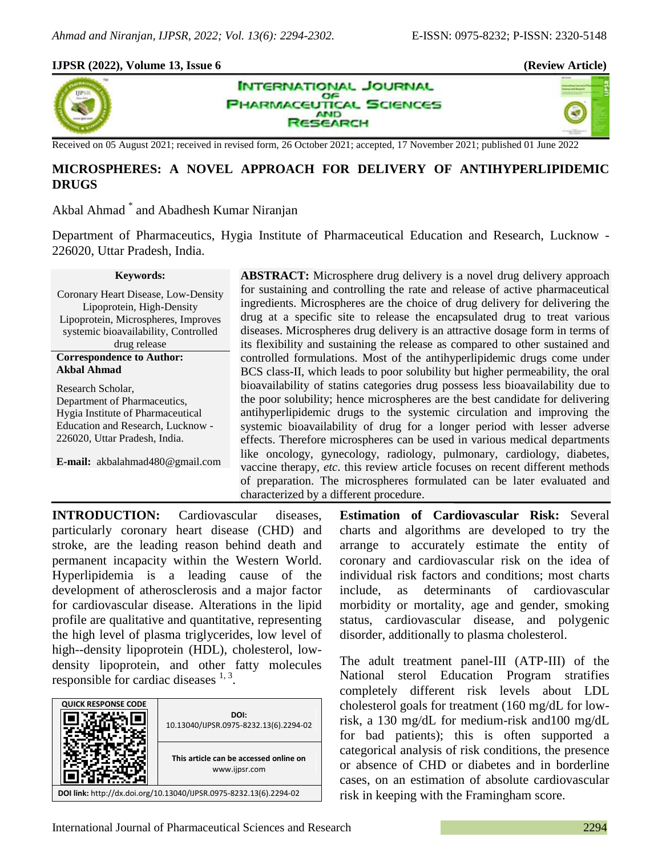40

#### **IJPSR (2022), Volume 13, Issue 6 (Review Article)**



**INTERNATIONAL JOURNAL** OF **PHARMACEUTICAL SCIENCES AND SEARCH** 

Received on 05 August 2021; received in revised form, 26 October 2021; accepted, 17 November 2021; published 01 June 2022

## **MICROSPHERES: A NOVEL APPROACH FOR DELIVERY OF ANTIHYPERLIPIDEMIC DRUGS**

Akbal Ahmad \* and Abadhesh Kumar Niranjan

Department of Pharmaceutics, Hygia Institute of Pharmaceutical Education and Research, Lucknow - 226020, Uttar Pradesh, India.

#### **Keywords:**

Coronary Heart Disease, Low-Density Lipoprotein, High-Density Lipoprotein, Microspheres, Improves systemic bioavailability, Controlled drug release **Correspondence to Author: Akbal Ahmad**

Research Scholar, Department of Pharmaceutics, Hygia Institute of Pharmaceutical Education and Research, Lucknow - 226020, Uttar Pradesh, India.

**E-mail:** akbalahmad480@gmail.com

**ABSTRACT:** Microsphere drug delivery is a novel drug delivery approach for sustaining and controlling the rate and release of active pharmaceutical ingredients. Microspheres are the choice of drug delivery for delivering the drug at a specific site to release the encapsulated drug to treat various diseases. Microspheres drug delivery is an attractive dosage form in terms of its flexibility and sustaining the release as compared to other sustained and controlled formulations. Most of the antihyperlipidemic drugs come under BCS class-II, which leads to poor solubility but higher permeability, the oral bioavailability of statins categories drug possess less bioavailability due to the poor solubility; hence microspheres are the best candidate for delivering antihyperlipidemic drugs to the systemic circulation and improving the systemic bioavailability of drug for a longer period with lesser adverse effects. Therefore microspheres can be used in various medical departments like oncology, gynecology, radiology, pulmonary, cardiology, diabetes, vaccine therapy, *etc*. this review article focuses on recent different methods of preparation. The microspheres formulated can be later evaluated and characterized by a different procedure.

**INTRODUCTION:** Cardiovascular diseases, particularly coronary heart disease (CHD) and stroke, are the leading reason behind death and permanent incapacity within the Western World. Hyperlipidemia is a leading cause of the development of atherosclerosis and a major factor for cardiovascular disease. Alterations in the lipid profile are qualitative and quantitative, representing the high level of plasma triglycerides, low level of high--density lipoprotein (HDL), cholesterol, lowdensity lipoprotein, and other fatty molecules responsible for cardiac diseases  $1, 3$ .



**Estimation of Cardiovascular Risk:** Several charts and algorithms are developed to try the arrange to accurately estimate the entity of coronary and cardiovascular risk on the idea of individual risk factors and conditions; most charts include, as determinants of cardiovascular morbidity or mortality, age and gender, smoking status, cardiovascular disease, and polygenic disorder, additionally to plasma cholesterol.

The adult treatment panel-III (ATP-III) of the National sterol Education Program stratifies completely different risk levels about LDL cholesterol goals for treatment (160 mg/dL for lowrisk, a 130 mg/dL for medium-risk and100 mg/dL for bad patients); this is often supported a categorical analysis of risk conditions, the presence or absence of CHD or diabetes and in borderline cases, on an estimation of absolute cardiovascular risk in keeping with the Framingham score.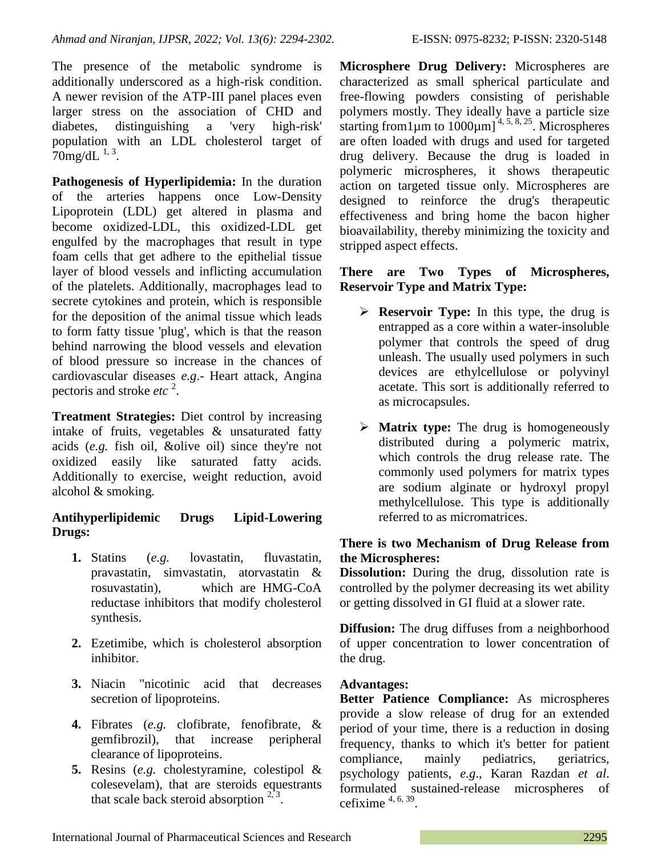The presence of the metabolic syndrome is additionally underscored as a high-risk condition. A newer revision of the ATP-III panel places even larger stress on the association of CHD and diabetes, distinguishing a 'very high-risk' population with an LDL cholesterol target of  $70$ mg/dL $^{1,3}$ .

**Pathogenesis of Hyperlipidemia:** In the duration of the arteries happens once Low-Density Lipoprotein (LDL) get altered in plasma and become oxidized-LDL, this oxidized-LDL get engulfed by the macrophages that result in type foam cells that get adhere to the epithelial tissue layer of blood vessels and inflicting accumulation of the platelets. Additionally, macrophages lead to secrete cytokines and protein, which is responsible for the deposition of the animal tissue which leads to form fatty tissue 'plug', which is that the reason behind narrowing the blood vessels and elevation of blood pressure so increase in the chances of cardiovascular diseases *e.g*.- Heart attack, Angina pectoris and stroke *etc* <sup>2</sup> .

**Treatment Strategies:** Diet control by increasing intake of fruits, vegetables & unsaturated fatty acids (*e.g.* fish oil, &olive oil) since they're not oxidized easily like saturated fatty acids. Additionally to exercise, weight reduction, avoid alcohol & smoking.

### **Antihyperlipidemic Drugs Lipid-Lowering Drugs:**

- **1.** Statins (*e.g.* lovastatin, fluvastatin, pravastatin, simvastatin, atorvastatin & rosuvastatin), which are HMG-CoA reductase inhibitors that modify cholesterol synthesis.
- **2.** Ezetimibe, which is cholesterol absorption inhibitor.
- **3.** Niacin "nicotinic acid that decreases secretion of lipoproteins.
- **4.** Fibrates (*e.g.* clofibrate, fenofibrate, & gemfibrozil), that increase peripheral clearance of lipoproteins.
- **5.** Resins (*e.g.* cholestyramine, colestipol & colesevelam), that are steroids equestrants that scale back steroid absorption  $2,3$ .

**Microsphere Drug Delivery:** Microspheres are characterized as small spherical particulate and free-flowing powders consisting of perishable polymers mostly. They ideally have a particle size starting from 1  $\mu$ m to 1000 $\mu$ m]<sup>4, 5, 8, 25</sup>. Microspheres are often loaded with drugs and used for targeted drug delivery. Because the drug is loaded in polymeric microspheres, it shows therapeutic action on targeted tissue only. Microspheres are designed to reinforce the drug's therapeutic effectiveness and bring home the bacon higher bioavailability, thereby minimizing the toxicity and stripped aspect effects.

### **There are Two Types of Microspheres, Reservoir Type and Matrix Type:**

- **Reservoir Type:** In this type, the drug is entrapped as a core within a water-insoluble polymer that controls the speed of drug unleash. The usually used polymers in such devices are ethylcellulose or polyvinyl acetate. This sort is additionally referred to as microcapsules.
- **Matrix type:** The drug is homogeneously distributed during a polymeric matrix, which controls the drug release rate. The commonly used polymers for matrix types are sodium alginate or hydroxyl propyl methylcellulose. This type is additionally referred to as micromatrices.

### **There is two Mechanism of Drug Release from the Microspheres:**

**Dissolution:** During the drug, dissolution rate is controlled by the polymer decreasing its wet ability or getting dissolved in GI fluid at a slower rate.

**Diffusion:** The drug diffuses from a neighborhood of upper concentration to lower concentration of the drug.

### **Advantages:**

**Better Patience Compliance:** As microspheres provide a slow release of drug for an extended period of your time, there is a reduction in dosing frequency, thanks to which it's better for patient compliance, mainly pediatrics, geriatrics, psychology patients, *e.g*., Karan Razdan *et al*. formulated sustained-release microspheres of cefixime  $4, 6, 39$ .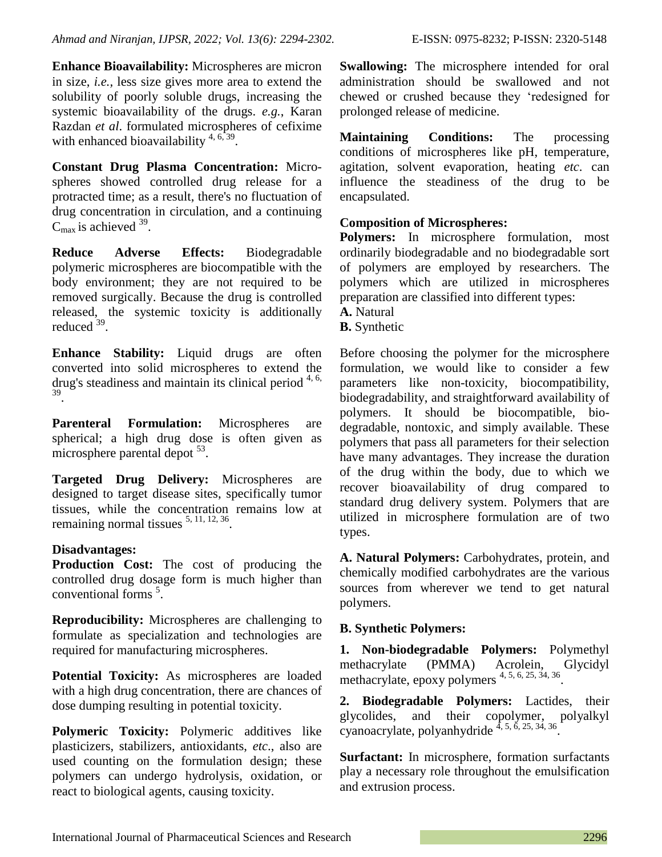**Enhance Bioavailability:** Microspheres are micron in size, *i.e.,* less size gives more area to extend the solubility of poorly soluble drugs, increasing the systemic bioavailability of the drugs. *e.g.*, Karan Razdan *et al*. formulated microspheres of cefixime with enhanced bioavailability  $4, 6, 39$ .

**Constant Drug Plasma Concentration:** Microspheres showed controlled drug release for a protracted time; as a result, there's no fluctuation of drug concentration in circulation, and a continuing  $C_{\text{max}}$  is achieved  $^{39}$ .

**Reduce Adverse Effects:** Biodegradable polymeric microspheres are biocompatible with the body environment; they are not required to be removed surgically. Because the drug is controlled released, the systemic toxicity is additionally reduced<sup>39</sup>.

**Enhance Stability:** Liquid drugs are often converted into solid microspheres to extend the drug's steadiness and maintain its clinical period  $4, 6$ , 39 .

**Parenteral Formulation:** Microspheres are spherical; a high drug dose is often given as microsphere parental depot  $53$ .

**Targeted Drug Delivery:** Microspheres are designed to target disease sites, specifically tumor tissues, while the concentration remains low at remaining normal tissues  $5, 11, 12, 36$ .

### **Disadvantages:**

**Production Cost:** The cost of producing the controlled drug dosage form is much higher than conventional forms<sup>5</sup>.

**Reproducibility:** Microspheres are challenging to formulate as specialization and technologies are required for manufacturing microspheres.

**Potential Toxicity:** As microspheres are loaded with a high drug concentration, there are chances of dose dumping resulting in potential toxicity.

**Polymeric Toxicity:** Polymeric additives like plasticizers, stabilizers, antioxidants, *etc*., also are used counting on the formulation design; these polymers can undergo hydrolysis, oxidation, or react to biological agents, causing toxicity.

**Swallowing:** The microsphere intended for oral administration should be swallowed and not chewed or crushed because they 'redesigned for prolonged release of medicine.

**Maintaining Conditions:** The processing conditions of microspheres like pH, temperature, agitation, solvent evaporation, heating *etc*. can influence the steadiness of the drug to be encapsulated.

# **Composition of Microspheres:**

**Polymers:** In microsphere formulation, most ordinarily biodegradable and no biodegradable sort of polymers are employed by researchers. The polymers which are utilized in microspheres preparation are classified into different types:

**A.** Natural

**B.** Synthetic

Before choosing the polymer for the microsphere formulation, we would like to consider a few parameters like non-toxicity, biocompatibility, biodegradability, and straightforward availability of polymers. It should be biocompatible, biodegradable, nontoxic, and simply available. These polymers that pass all parameters for their selection have many advantages. They increase the duration of the drug within the body, due to which we recover bioavailability of drug compared to standard drug delivery system. Polymers that are utilized in microsphere formulation are of two types.

**A. Natural Polymers:** Carbohydrates, protein, and chemically modified carbohydrates are the various sources from wherever we tend to get natural polymers.

# **B. Synthetic Polymers:**

**1. Non-biodegradable Polymers:** Polymethyl methacrylate (PMMA) Acrolein, Glycidyl methacrylate, epoxy polymers<sup>4, 5, 6, 25, 34, 36</sup>.

**2. Biodegradable Polymers:** Lactides, their glycolides, and their copolymer, polyalkyl cyanoacrylate, polyanhydride  $4, 5, 6, 25, 34, 36$ .

**Surfactant:** In microsphere, formation surfactants play a necessary role throughout the emulsification and extrusion process.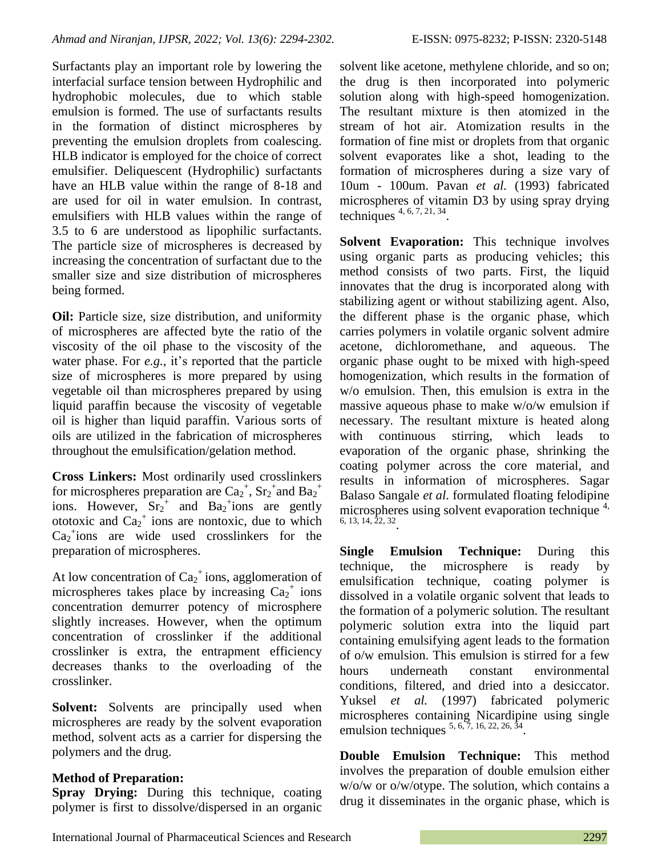Surfactants play an important role by lowering the interfacial surface tension between Hydrophilic and hydrophobic molecules, due to which stable emulsion is formed. The use of surfactants results in the formation of distinct microspheres by preventing the emulsion droplets from coalescing. HLB indicator is employed for the choice of correct emulsifier. Deliquescent (Hydrophilic) surfactants have an HLB value within the range of 8-18 and are used for oil in water emulsion. In contrast, emulsifiers with HLB values within the range of 3.5 to 6 are understood as lipophilic surfactants. The particle size of microspheres is decreased by increasing the concentration of surfactant due to the smaller size and size distribution of microspheres being formed.

**Oil:** Particle size, size distribution, and uniformity of microspheres are affected byte the ratio of the viscosity of the oil phase to the viscosity of the water phase. For *e.g.,* it's reported that the particle size of microspheres is more prepared by using vegetable oil than microspheres prepared by using liquid paraffin because the viscosity of vegetable oil is higher than liquid paraffin. Various sorts of oils are utilized in the fabrication of microspheres throughout the emulsification/gelation method.

**Cross Linkers:** Most ordinarily used crosslinkers for microspheres preparation are  $Ca<sub>2</sub><sup>+</sup>$ ,  $Sr<sub>2</sub><sup>+</sup>$  and  $Ba<sub>2</sub><sup>+</sup>$ ions. However,  $Sr<sub>2</sub><sup>+</sup>$  and Ba<sub>2</sub><sup>+</sup>ions are gently ototoxic and  $Ca<sub>2</sub><sup>+</sup>$  ions are nontoxic, due to which  $Ca<sub>2</sub>$ <sup>+</sup>ions are wide used crosslinkers for the preparation of microspheres.

At low concentration of  $Ca<sub>2</sub><sup>+</sup> ions$ , agglomeration of microspheres takes place by increasing  $Ca<sub>2</sub><sup>+</sup>$  ions concentration demurrer potency of microsphere slightly increases. However, when the optimum concentration of crosslinker if the additional crosslinker is extra, the entrapment efficiency decreases thanks to the overloading of the crosslinker.

**Solvent:** Solvents are principally used when microspheres are ready by the solvent evaporation method, solvent acts as a carrier for dispersing the polymers and the drug.

### **Method of Preparation:**

**Spray Drying:** During this technique, coating polymer is first to dissolve/dispersed in an organic solvent like acetone, methylene chloride, and so on; the drug is then incorporated into polymeric solution along with high-speed homogenization. The resultant mixture is then atomized in the stream of hot air. Atomization results in the formation of fine mist or droplets from that organic solvent evaporates like a shot, leading to the formation of microspheres during a size vary of 10um - 100um. Pavan *et al.* (1993) fabricated microspheres of vitamin D3 by using spray drying techniques  $4, 6, 7, 21, 34$ .

**Solvent Evaporation:** This technique involves using organic parts as producing vehicles; this method consists of two parts. First, the liquid innovates that the drug is incorporated along with stabilizing agent or without stabilizing agent. Also, the different phase is the organic phase, which carries polymers in volatile organic solvent admire acetone, dichloromethane, and aqueous. The organic phase ought to be mixed with high-speed homogenization, which results in the formation of w/o emulsion. Then, this emulsion is extra in the massive aqueous phase to make w/o/w emulsion if necessary. The resultant mixture is heated along with continuous stirring, which leads to evaporation of the organic phase, shrinking the coating polymer across the core material, and results in information of microspheres. Sagar Balaso Sangale *et al*. formulated floating felodipine microspheres using solvent evaporation technique<sup>4,</sup>  $6, 13, 14, \overline{2}2, 32$ 

**Single Emulsion Technique:** During this technique, the microsphere is ready by emulsification technique, coating polymer is dissolved in a volatile organic solvent that leads to the formation of a polymeric solution. The resultant polymeric solution extra into the liquid part containing emulsifying agent leads to the formation of o/w emulsion. This emulsion is stirred for a few hours underneath constant environmental conditions, filtered, and dried into a desiccator. Yuksel *et al.* (1997) fabricated polymeric microspheres containing Nicardipine using single emulsion techniques  $5, 6, 7, 16, 22, 26, 34$ .

**Double Emulsion Technique:** This method involves the preparation of double emulsion either w/o/w or o/w/otype. The solution, which contains a drug it disseminates in the organic phase, which is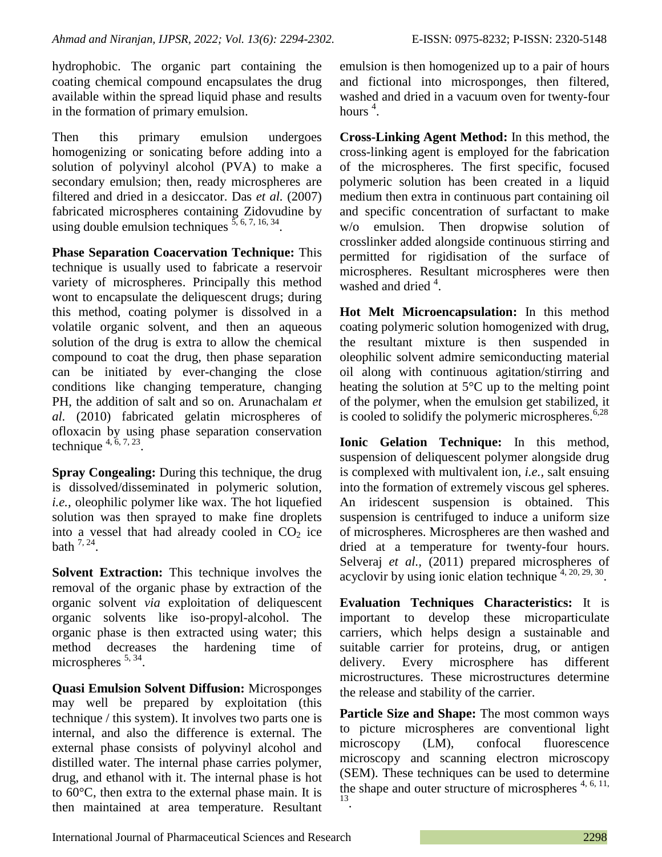hydrophobic. The organic part containing the coating chemical compound encapsulates the drug available within the spread liquid phase and results in the formation of primary emulsion.

Then this primary emulsion undergoes homogenizing or sonicating before adding into a solution of polyvinyl alcohol (PVA) to make a secondary emulsion; then, ready microspheres are filtered and dried in a desiccator. Das *et al.* (2007) fabricated microspheres containing Zidovudine by using double emulsion techniques  $\frac{5,6,7,16,34}{\ldots}$ .

**Phase Separation Coacervation Technique:** This technique is usually used to fabricate a reservoir variety of microspheres. Principally this method wont to encapsulate the deliquescent drugs; during this method, coating polymer is dissolved in a volatile organic solvent, and then an aqueous solution of the drug is extra to allow the chemical compound to coat the drug, then phase separation can be initiated by ever-changing the close conditions like changing temperature, changing PH, the addition of salt and so on. Arunachalam *et al.* (2010) fabricated gelatin microspheres of ofloxacin by using phase separation conservation technique  $4, 6, 7, 23$ .

**Spray Congealing:** During this technique, the drug is dissolved/disseminated in polymeric solution, *i.e.,* oleophilic polymer like wax. The hot liquefied solution was then sprayed to make fine droplets into a vessel that had already cooled in  $CO<sub>2</sub>$  ice bath  $7, 24$ .

**Solvent Extraction:** This technique involves the removal of the organic phase by extraction of the organic solvent *via* exploitation of deliquescent organic solvents like iso-propyl-alcohol. The organic phase is then extracted using water; this method decreases the hardening time of microspheres <sup>5, 34</sup>.

**Quasi Emulsion Solvent Diffusion:** Microsponges may well be prepared by exploitation (this technique / this system). It involves two parts one is internal, and also the difference is external. The external phase consists of polyvinyl alcohol and distilled water. The internal phase carries polymer, drug, and ethanol with it. The internal phase is hot to 60°C, then extra to the external phase main. It is then maintained at area temperature. Resultant emulsion is then homogenized up to a pair of hours and fictional into microsponges, then filtered, washed and dried in a vacuum oven for twenty-four hours  $^4$ .

**Cross-Linking Agent Method:** In this method, the cross-linking agent is employed for the fabrication of the microspheres. The first specific, focused polymeric solution has been created in a liquid medium then extra in continuous part containing oil and specific concentration of surfactant to make w/o emulsion. Then dropwise solution of crosslinker added alongside continuous stirring and permitted for rigidisation of the surface of microspheres. Resultant microspheres were then washed and dried<sup>4</sup>.

**Hot Melt Microencapsulation:** In this method coating polymeric solution homogenized with drug, the resultant mixture is then suspended in oleophilic solvent admire semiconducting material oil along with continuous agitation/stirring and heating the solution at  $5^{\circ}$ C up to the melting point of the polymer, when the emulsion get stabilized, it is cooled to solidify the polymeric microspheres.  $6.28$ 

**Ionic Gelation Technique:** In this method, suspension of deliquescent polymer alongside drug is complexed with multivalent ion, *i.e.,* salt ensuing into the formation of extremely viscous gel spheres. An iridescent suspension is obtained. This suspension is centrifuged to induce a uniform size of microspheres. Microspheres are then washed and dried at a temperature for twenty-four hours. Selveraj *et al.,* (2011) prepared microspheres of acyclovir by using ionic elation technique  $4, 20, 29, 30$ .

**Evaluation Techniques Characteristics:** It is important to develop these microparticulate carriers, which helps design a sustainable and suitable carrier for proteins, drug, or antigen delivery. Every microsphere has different microstructures. These microstructures determine the release and stability of the carrier.

**Particle Size and Shape:** The most common ways to picture microspheres are conventional light microscopy (LM), confocal fluorescence microscopy and scanning electron microscopy (SEM). These techniques can be used to determine the shape and outer structure of microspheres  $4, 6, 11$ , 13 .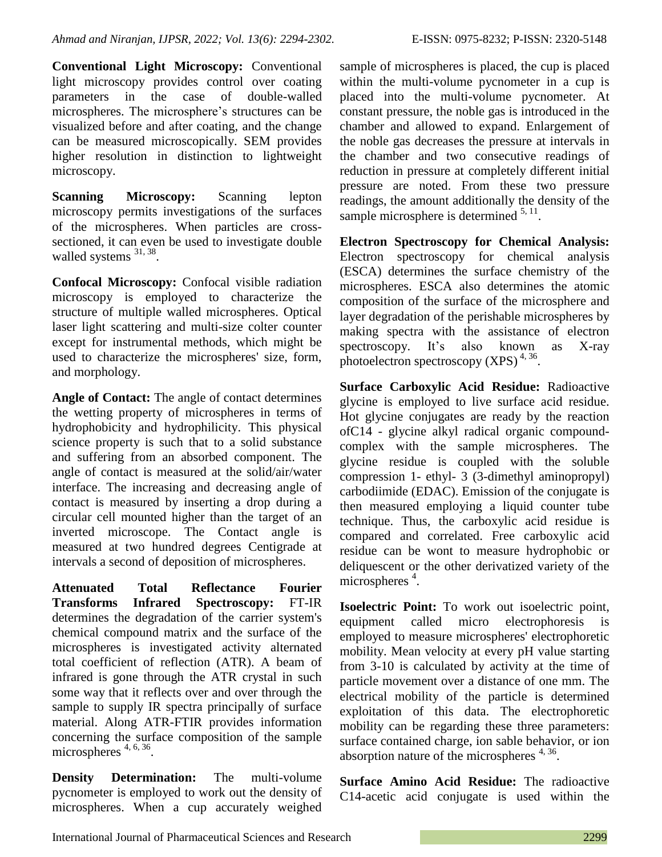**Conventional Light Microscopy:** Conventional light microscopy provides control over coating parameters in the case of double-walled microspheres. The microsphere's structures can be visualized before and after coating, and the change can be measured microscopically. SEM provides higher resolution in distinction to lightweight microscopy.

**Scanning Microscopy:** Scanning lepton microscopy permits investigations of the surfaces of the microspheres. When particles are crosssectioned, it can even be used to investigate double walled systems  $31, 38$ .

**Confocal Microscopy:** Confocal visible radiation microscopy is employed to characterize the structure of multiple walled microspheres. Optical laser light scattering and multi-size colter counter except for instrumental methods, which might be used to characterize the microspheres' size, form, and morphology.

**Angle of Contact:** The angle of contact determines the wetting property of microspheres in terms of hydrophobicity and hydrophilicity. This physical science property is such that to a solid substance and suffering from an absorbed component. The angle of contact is measured at the solid/air/water interface. The increasing and decreasing angle of contact is measured by inserting a drop during a circular cell mounted higher than the target of an inverted microscope. The Contact angle is measured at two hundred degrees Centigrade at intervals a second of deposition of microspheres.

**Attenuated Total Reflectance Fourier Transforms Infrared Spectroscopy:** FT-IR determines the degradation of the carrier system's chemical compound matrix and the surface of the microspheres is investigated activity alternated total coefficient of reflection (ATR). A beam of infrared is gone through the ATR crystal in such some way that it reflects over and over through the sample to supply IR spectra principally of surface material. Along ATR-FTIR provides information concerning the surface composition of the sample microspheres<sup>4, 6, 36</sup>.

**Density Determination:** The multi-volume pycnometer is employed to work out the density of microspheres. When a cup accurately weighed

sample of microspheres is placed, the cup is placed within the multi-volume pycnometer in a cup is placed into the multi-volume pycnometer. At constant pressure, the noble gas is introduced in the chamber and allowed to expand. Enlargement of the noble gas decreases the pressure at intervals in the chamber and two consecutive readings of reduction in pressure at completely different initial pressure are noted. From these two pressure readings, the amount additionally the density of the sample microsphere is determined  $5, 11$ .

**Electron Spectroscopy for Chemical Analysis:**  Electron spectroscopy for chemical analysis (ESCA) determines the surface chemistry of the microspheres. ESCA also determines the atomic composition of the surface of the microsphere and layer degradation of the perishable microspheres by making spectra with the assistance of electron spectroscopy. It's also known as X-ray photoelectron spectroscopy  $(XPS)^{4,36}$ .

**Surface Carboxylic Acid Residue:** Radioactive glycine is employed to live surface acid residue. Hot glycine conjugates are ready by the reaction ofC14 - glycine alkyl radical organic compoundcomplex with the sample microspheres. The glycine residue is coupled with the soluble compression 1- ethyl- 3 (3-dimethyl aminopropyl) carbodiimide (EDAC). Emission of the conjugate is then measured employing a liquid counter tube technique. Thus, the carboxylic acid residue is compared and correlated. Free carboxylic acid residue can be wont to measure hydrophobic or deliquescent or the other derivatized variety of the microspheres<sup>4</sup>.

**Isoelectric Point:** To work out isoelectric point, equipment called micro electrophoresis is employed to measure microspheres' electrophoretic mobility. Mean velocity at every pH value starting from 3-10 is calculated by activity at the time of particle movement over a distance of one mm. The electrical mobility of the particle is determined exploitation of this data. The electrophoretic mobility can be regarding these three parameters: surface contained charge, ion sable behavior, or ion absorption nature of the microspheres  $4,36$ .

**Surface Amino Acid Residue:** The radioactive C14-acetic acid conjugate is used within the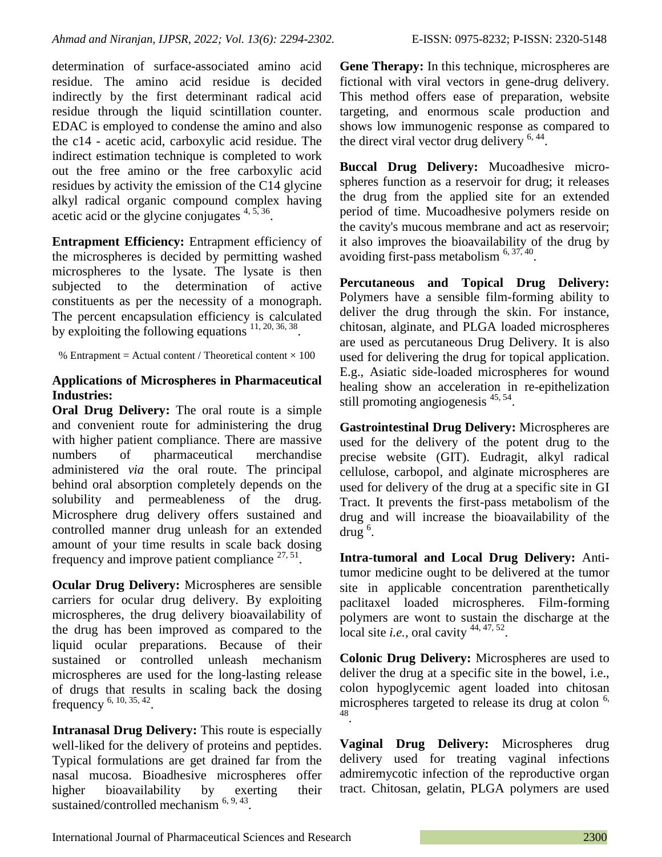determination of surface-associated amino acid residue. The amino acid residue is decided indirectly by the first determinant radical acid residue through the liquid scintillation counter. EDAC is employed to condense the amino and also the c14 - acetic acid, carboxylic acid residue. The indirect estimation technique is completed to work out the free amino or the free carboxylic acid residues by activity the emission of the C14 glycine alkyl radical organic compound complex having acetic acid or the glycine conjugates  $4,5,36$ .

**Entrapment Efficiency:** Entrapment efficiency of the microspheres is decided by permitting washed microspheres to the lysate. The lysate is then subjected to the determination of active constituents as per the necessity of a monograph. The percent encapsulation efficiency is calculated by exploiting the following equations  $11, 20, 36, 38$ .

% Entrapment = Actual content / Theoretical content  $\times$  100

#### **Applications of Microspheres in Pharmaceutical Industries:**

**Oral Drug Delivery:** The oral route is a simple and convenient route for administering the drug with higher patient compliance. There are massive numbers of pharmaceutical merchandise administered *via* the oral route. The principal behind oral absorption completely depends on the solubility and permeableness of the drug. Microsphere drug delivery offers sustained and controlled manner drug unleash for an extended amount of your time results in scale back dosing frequency and improve patient compliance  $27, 51$ .

**Ocular Drug Delivery:** Microspheres are sensible carriers for ocular drug delivery. By exploiting microspheres, the drug delivery bioavailability of the drug has been improved as compared to the liquid ocular preparations. Because of their sustained or controlled unleash mechanism microspheres are used for the long-lasting release of drugs that results in scaling back the dosing frequency <sup>6, 10, 35, 42</sup>.

**Intranasal Drug Delivery:** This route is especially well-liked for the delivery of proteins and peptides. Typical formulations are get drained far from the nasal mucosa. Bioadhesive microspheres offer higher bioavailability by exerting their sustained/controlled mechanism<sup>6, 9, 43</sup>.

**Gene Therapy:** In this technique, microspheres are fictional with viral vectors in gene-drug delivery. This method offers ease of preparation, website targeting, and enormous scale production and shows low immunogenic response as compared to the direct viral vector drug delivery  $6,44$ .

**Buccal Drug Delivery:** Mucoadhesive microspheres function as a reservoir for drug; it releases the drug from the applied site for an extended period of time. Mucoadhesive polymers reside on the cavity's mucous membrane and act as reservoir; it also improves the bioavailability of the drug by avoiding first-pass metabolism  $6, 37, 40$ .

**Percutaneous and Topical Drug Delivery:**  Polymers have a sensible film-forming ability to deliver the drug through the skin. For instance, chitosan, alginate, and PLGA loaded microspheres are used as percutaneous Drug Delivery. It is also used for delivering the drug for topical application. E.g., Asiatic side-loaded microspheres for wound healing show an acceleration in re-epithelization still promoting angiogenesis <sup>45, 54</sup>.

**Gastrointestinal Drug Delivery:** Microspheres are used for the delivery of the potent drug to the precise website (GIT). Eudragit, alkyl radical cellulose, carbopol, and alginate microspheres are used for delivery of the drug at a specific site in GI Tract. It prevents the first-pass metabolism of the drug and will increase the bioavailability of the  $\frac{1}{2}$  drug<sup>6</sup>.

**Intra-tumoral and Local Drug Delivery:** Antitumor medicine ought to be delivered at the tumor site in applicable concentration parenthetically paclitaxel loaded microspheres. Film-forming polymers are wont to sustain the discharge at the local site *i.e.*, oral cavity  $44, 47, 52$ .

**Colonic Drug Delivery:** Microspheres are used to deliver the drug at a specific site in the bowel, i.e., colon hypoglycemic agent loaded into chitosan microspheres targeted to release its drug at colon  $6$ , 48 .

**Vaginal Drug Delivery:** Microspheres drug delivery used for treating vaginal infections admiremycotic infection of the reproductive organ tract. Chitosan, gelatin, PLGA polymers are used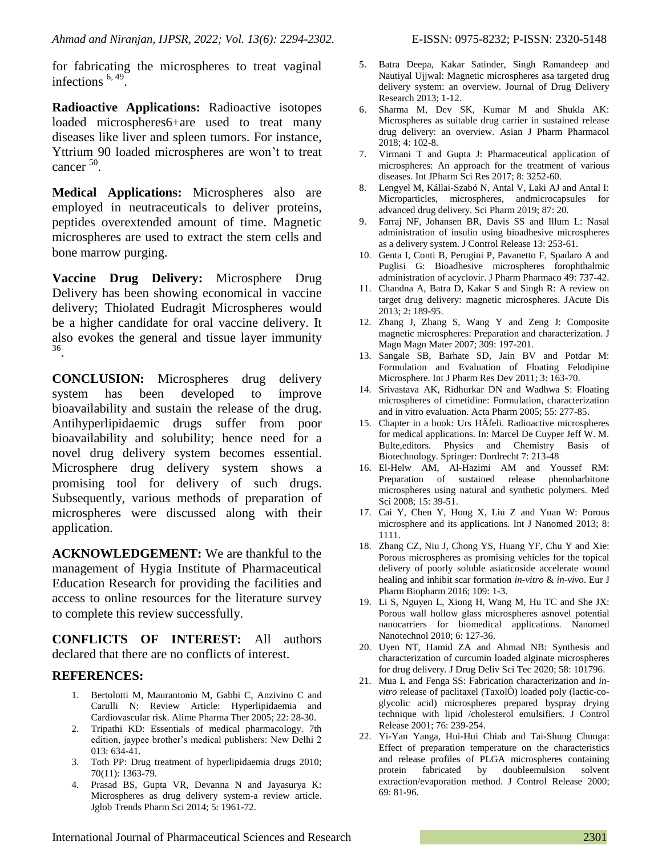for fabricating the microspheres to treat vaginal infections  $6, 49$ .

**Radioactive Applications:** Radioactive isotopes loaded microspheres6+are used to treat many diseases like liver and spleen tumors. For instance, Yttrium 90 loaded microspheres are won't to treat cancer<sup>50</sup>.

**Medical Applications:** Microspheres also are employed in neutraceuticals to deliver proteins, peptides overextended amount of time. Magnetic microspheres are used to extract the stem cells and bone marrow purging.

**Vaccine Drug Delivery:** Microsphere Drug Delivery has been showing economical in vaccine delivery; Thiolated Eudragit Microspheres would be a higher candidate for oral vaccine delivery. It also evokes the general and tissue layer immunity 36 .

**CONCLUSION:** Microspheres drug delivery system has been developed to improve bioavailability and sustain the release of the drug. Antihyperlipidaemic drugs suffer from poor bioavailability and solubility; hence need for a novel drug delivery system becomes essential. Microsphere drug delivery system shows a promising tool for delivery of such drugs. Subsequently, various methods of preparation of microspheres were discussed along with their application.

**ACKNOWLEDGEMENT:** We are thankful to the management of Hygia Institute of Pharmaceutical Education Research for providing the facilities and access to online resources for the literature survey to complete this review successfully.

**CONFLICTS OF INTEREST:** All authors declared that there are no conflicts of interest.

#### **REFERENCES:**

- 1. Bertolotti M, Maurantonio M, Gabbi C, Anzivino C and Carulli N: Review Article: Hyperlipidaemia and Cardiovascular risk. Alime Pharma Ther 2005; 22: 28-30.
- 2. Tripathi KD: Essentials of medical pharmacology. 7th edition, jaypee brother's medical publishers: New Delhi 2 013: 634-41.
- 3. Toth PP: Drug treatment of hyperlipidaemia drugs 2010; 70(11): 1363-79.
- 4. Prasad BS, Gupta VR, Devanna N and Jayasurya K: Microspheres as drug delivery system-a review article. Jglob Trends Pharm Sci 2014; 5: 1961-72.
- 5. Batra Deepa, Kakar Satinder, Singh Ramandeep and Nautiyal Ujjwal: Magnetic microspheres asa targeted drug delivery system: an overview. Journal of Drug Delivery Research 2013; 1-12.
- 6. Sharma M, Dev SK, Kumar M and Shukla AK: Microspheres as suitable drug carrier in sustained release drug delivery: an overview. Asian J Pharm Pharmacol 2018; 4: 102-8.
- 7. Virmani T and Gupta J: Pharmaceutical application of microspheres: An approach for the treatment of various diseases. Int JPharm Sci Res 2017; 8: 3252-60.
- 8. Lengyel M, Kállai-Szabó N, Antal V, Laki AJ and Antal I: Microparticles, microspheres, andmicrocapsules for advanced drug delivery. Sci Pharm 2019; 87: 20.
- 9. Farraj NF, Johansen BR, Davis SS and Illum L: Nasal administration of insulin using bioadhesive microspheres as a delivery system. J Control Release 13: 253-61.
- 10. Genta I, Conti B, Perugini P, Pavanetto F, Spadaro A and Puglisi G: Bioadhesive microspheres forophthalmic administration of acyclovir. J Pharm Pharmaco 49: 737-42.
- 11. Chandna A, Batra D, Kakar S and Singh R: A review on target drug delivery: magnetic microspheres. JAcute Dis 2013; 2: 189-95.
- 12. Zhang J, Zhang S, Wang Y and Zeng J: Composite magnetic microspheres: Preparation and characterization. J Magn Magn Mater 2007; 309: 197-201.
- 13. Sangale SB, Barhate SD, Jain BV and Potdar M: Formulation and Evaluation of Floating Felodipine Microsphere. Int J Pharm Res Dev 2011; 3: 163-70.
- 14. Srivastava AK, Ridhurkar DN and Wadhwa S: Floating microspheres of cimetidine: Formulation, characterization and in vitro evaluation. Acta Pharm 2005; 55: 277-85.
- 15. Chapter in a book: Urs HÄfeli. Radioactive microspheres for medical applications. In: Marcel De Cuyper Jeff W. M. Bulte,editors. Physics and Chemistry Basis of Biotechnology. Springer: Dordrecht 7: 213-48
- 16. El-Helw AM, Al-Hazimi AM and Youssef RM: Preparation of sustained release phenobarbitone microspheres using natural and synthetic polymers. Med Sci 2008; 15: 39-51.
- 17. Cai Y, Chen Y, Hong X, Liu Z and Yuan W: Porous microsphere and its applications. Int J Nanomed 2013; 8: 1111.
- 18. Zhang CZ, Niu J, Chong YS, Huang YF, Chu Y and Xie: Porous microspheres as promising vehicles for the topical delivery of poorly soluble asiaticoside accelerate wound healing and inhibit scar formation *in-vitro* & *in-vivo*. Eur J Pharm Biopharm 2016; 109: 1-3.
- 19. Li S, Nguyen L, Xiong H, Wang M, Hu TC and She JX: Porous wall hollow glass microspheres asnovel potential nanocarriers for biomedical applications. Nanomed Nanotechnol 2010; 6: 127-36.
- 20. Uyen NT, Hamid ZA and Ahmad NB: Synthesis and characterization of curcumin loaded alginate microspheres for drug delivery. J Drug Deliv Sci Tec 2020; 58: 101796.
- 21. Mua L and Fenga SS: Fabrication characterization and *invitro* release of paclitaxel (TaxolÒ) loaded poly (lactic-coglycolic acid) microspheres prepared byspray drying technique with lipid /cholesterol emulsifiers. J Control Release 2001; 76: 239-254.
- 22. Yi-Yan Yanga, Hui-Hui Chiab and Tai-Shung Chunga: Effect of preparation temperature on the characteristics and release profiles of PLGA microspheres containing protein fabricated by doubleemulsion solvent extraction/evaporation method. J Control Release 2000; 69: 81-96.